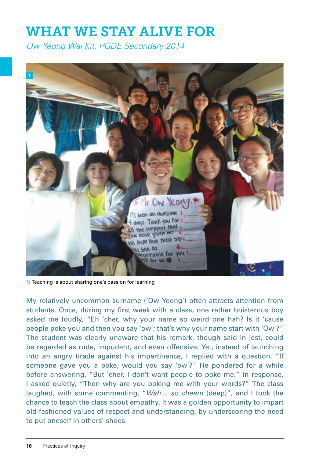# WHAT WE STAY ALIVE FOR

*Ow Yeong Wai Kit, PGDE Secondary 2014*



1: Teaching is about sharing one's passion for learning

My relatively uncommon surname ('Ow Yeong') often attracts attention from students. Once, during my first week with a class, one rather boisterous boy asked me loudly, "Eh 'cher, why your name so weird one hah? Is it 'cause people poke you and then you say 'ow'; that's why your name start with 'Ow'?" The student was clearly unaware that his remark, though said in jest, could be regarded as rude, impudent, and even offensive. Yet, instead of launching into an angry tirade against his impertinence, I replied with a question, "If someone gave you a poke, would you say 'ow'?" He pondered for a while before answering, "But 'cher, I don't want people to poke me." In response, I asked quietly, "Then why are you poking me with your words?" The class laughed, with some commenting, "*Wah… so cheem* (deep)", and I took the chance to teach the class about empathy. It was a golden opportunity to impart old-fashioned values of respect and understanding, by underscoring the need to put oneself in others' shoes.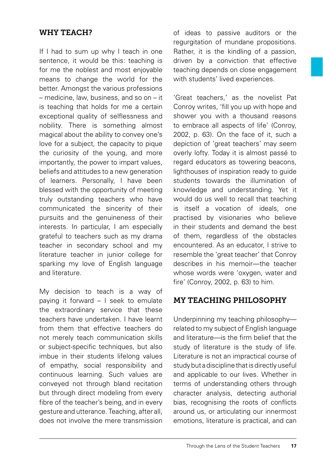# WHY TEACH?

If I had to sum up why I teach in one sentence, it would be this: teaching is for me the noblest and most enjoyable means to change the world for the better. Amongst the various professions – medicine, law, business, and so on – it is teaching that holds for me a certain exceptional quality of selflessness and nobility. There is something almost magical about the ability to convey one's love for a subject, the capacity to pique the curiosity of the young, and more importantly, the power to impart values, beliefs and attitudes to a new generation of learners. Personally, I have been blessed with the opportunity of meeting truly outstanding teachers who have communicated the sincerity of their pursuits and the genuineness of their interests. In particular, I am especially grateful to teachers such as my drama teacher in secondary school and my literature teacher in junior college for sparking my love of English language and literature.

My decision to teach is a way of paying it forward – I seek to emulate the extraordinary service that these teachers have undertaken. I have learnt from them that effective teachers do not merely teach communication skills or subject-specific techniques, but also imbue in their students lifelong values of empathy, social responsibility and continuous learning. Such values are conveyed not through bland recitation but through direct modeling from every fibre of the teacher's being, and in every gesture and utterance. Teaching, after all, does not involve the mere transmission

of ideas to passive auditors or the regurgitation of mundane propositions. Rather, it is the kindling of a passion, driven by a conviction that effective teaching depends on close engagement with students' lived experiences.

'Great teachers,' as the novelist Pat Conroy writes, 'fill you up with hope and shower you with a thousand reasons to embrace all aspects of life' (Conroy, 2002, p. 63). On the face of it, such a depiction of 'great teachers' may seem overly lofty. Today it is almost passé to regard educators as towering beacons, lighthouses of inspiration ready to guide students towards the illumination of knowledge and understanding. Yet it would do us well to recall that teaching is itself a vocation of ideals, one practised by visionaries who believe in their students and demand the best of them, regardless of the obstacles encountered. As an educator, I strive to resemble the 'great teacher' that Conroy describes in his memoir—the teacher whose words were 'oxygen, water and fire' (Conroy, 2002, p. 63) to him.

### MY TEACHING PHILOSOPHY

Underpinning my teaching philosophy related to my subject of English language and literature—is the firm belief that the study of literature is the study of life. Literature is not an impractical course of study but a discipline that is directly useful and applicable to our lives. Whether in terms of understanding others through character analysis, detecting authorial bias, recognising the roots of conflicts around us, or articulating our innermost emotions, literature is practical, and can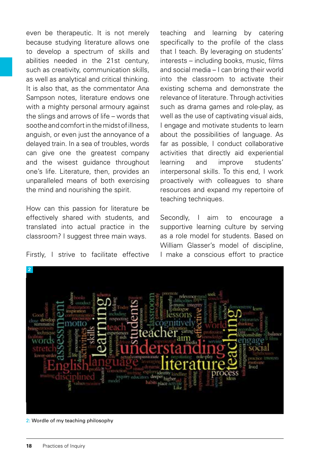even be therapeutic. It is not merely because studying literature allows one to develop a spectrum of skills and abilities needed in the 21st century, such as creativity, communication skills as well as analytical and critical thinking. It is also that, as the commentator Ana Sampson notes, literature endows one with a mighty personal armoury against the slings and arrows of life – words that soothe and comfort in the midst of illness, anguish, or even just the annoyance of a delayed train. In a sea of troubles, words can give one the greatest company and the wisest guidance throughout one's life. Literature, then, provides an unparalleled means of both exercising the mind and nourishing the spirit.

How can this passion for literature be effectively shared with students, and translated into actual practice in the classroom? I suggest three main ways.

Firstly, I strive to facilitate effective

teaching and learning by catering specifically to the profile of the class that I teach. By leveraging on students' interests – including books, music, films and social media – I can bring their world into the classroom to activate their existing schema and demonstrate the relevance of literature. Through activities such as drama games and role-play, as well as the use of captivating visual aids, I engage and motivate students to learn about the possibilities of language. As far as possible, I conduct collaborative activities that directly aid experiential learning and improve students' interpersonal skills. To this end, I work proactively with colleagues to share resources and expand my repertoire of teaching techniques.

Secondly, I aim to encourage a supportive learning culture by serving as a role model for students. Based on William Glasser's model of discipline I make a conscious effort to practice



2: Wordle of my teaching philosophy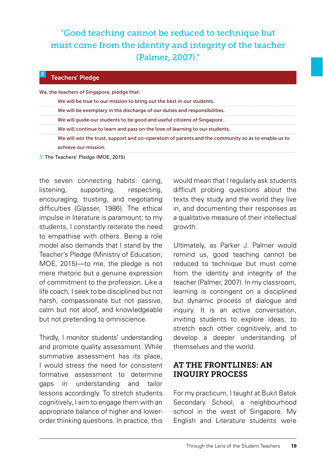# "Good teaching cannot be reduced to technique but must come from the identity and integrity of the teacher (Palmer, 2007)."

#### Teachers' Pledge

**3**

We, the teachers of Singapore, pledge that:

| We will be true to our mission to bring out the best in our students. |  |
|-----------------------------------------------------------------------|--|
|-----------------------------------------------------------------------|--|

|  |  | We will be exemplary in the discharge of our duties and responsibilities. |
|--|--|---------------------------------------------------------------------------|
|--|--|---------------------------------------------------------------------------|

- We will guide our students to be good and useful citizens of Singapore.
- We will continue to learn and pass on the love of learning to our students.

We will win the trust, support and co-operatoin of parents and the community so as to enable us to achieve our mission.

3: The Teachers' Pledge (MOE, 2015)

the seven connecting habits: caring, listening, supporting, respecting, encouraging, trusting, and negotiating difficulties (Glasser, 1986). The ethical impulse in literature is paramount; to my students, I constantly reiterate the need to empathise with others. Being a role model also demands that I stand by the Teacher's Pledge (Ministry of Education; MOE, 2015)—to me, the pledge is not mere rhetoric but a genuine expression of commitment to the profession. Like a life coach, I seek to be disciplined but not harsh, compassionate but not passive, calm but not aloof, and knowledgeable but not pretending to omniscience.

Thirdly, I monitor students' understanding and promote quality assessment. While summative assessment has its place, I would stress the need for consistent formative assessment to determine gaps in understanding and tailor lessons accordingly. To stretch students cognitively, I aim to engage them with an appropriate balance of higher and lowerorder thinking questions. In practice, this would mean that I regularly ask students difficult probing questions about the texts they study and the world they live in, and documenting their responses as a qualitative measure of their intellectual growth.

Ultimately, as Parker J. Palmer would remind us, good teaching cannot be reduced to technique but must come from the identity and integrity of the teacher (Palmer, 2007). In my classroom, learning is contingent on a disciplined but dynamic process of dialogue and inquiry. It is an active conversation, inviting students to explore ideas, to stretch each other cognitively, and to develop a deeper understanding of themselves and the world.

# AT THE FRONTLINES: AN INQUIRY PROCESS

For my practicum, I taught at Bukit Batok Secondary School, a neighbourhood school in the west of Singapore. My English and Literature students were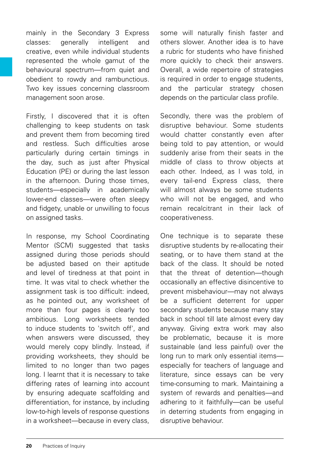mainly in the Secondary 3 Express classes: generally intelligent and creative, even while individual students represented the whole gamut of the behavioural spectrum—from quiet and obedient to rowdy and rambunctious. Two key issues concerning classroom management soon arose.

Firstly, I discovered that it is often challenging to keep students on task and prevent them from becoming tired and restless. Such difficulties arose particularly during certain timings in the day, such as just after Physical Education (PE) or during the last lesson in the afternoon. During those times, students—especially in academically lower-end classes—were often sleepy and fidgety, unable or unwilling to focus on assigned tasks.

In response, my School Coordinating Mentor (SCM) suggested that tasks assigned during those periods should be adjusted based on their aptitude and level of tiredness at that point in time. It was vital to check whether the assignment task is too difficult: indeed as he pointed out, any worksheet of more than four pages is clearly too ambitious. Long worksheets tended to induce students to 'switch off', and when answers were discussed, they would merely copy blindly. Instead, if providing worksheets, they should be limited to no longer than two pages long. I learnt that it is necessary to take differing rates of learning into account by ensuring adequate scaffolding and differentiation, for instance, by including low-to-high levels of response questions in a worksheet—because in every class, some will naturally finish faster and others slower. Another idea is to have a rubric for students who have finished more quickly to check their answers. Overall, a wide repertoire of strategies is required in order to engage students, and the particular strategy chosen depends on the particular class profile.

Secondly, there was the problem of disruptive behaviour. Some students would chatter constantly even after being told to pay attention, or would suddenly arise from their seats in the middle of class to throw objects at each other. Indeed, as I was told, in every tail-end Express class, there will almost always be some students who will not be engaged, and who remain recalcitrant in their lack of cooperativeness.

One technique is to separate these disruptive students by re-allocating their seating, or to have them stand at the back of the class. It should be noted that the threat of detention—though occasionally an effective disincentive to prevent misbehaviour—may not always be a sufficient deterrent for upper secondary students because many stay back in school till late almost every day anyway. Giving extra work may also be problematic, because it is more sustainable (and less painful) over the long run to mark only essential items especially for teachers of language and literature, since essays can be very time-consuming to mark. Maintaining a system of rewards and penalties—and adhering to it faithfully—can be useful in deterring students from engaging in disruptive behaviour.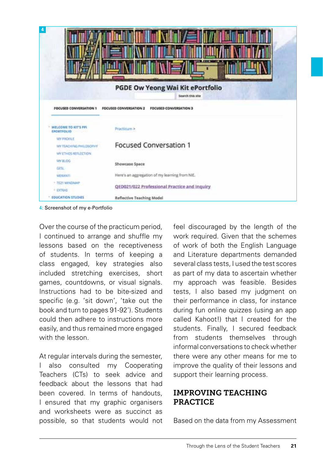|                                                             | 14.47                                                                                                           |
|-------------------------------------------------------------|-----------------------------------------------------------------------------------------------------------------|
| <b>FOCUSED CONVERSATION 1</b>                               | <b>PGDE Ow Yeong Wai Kit ePortfolio</b><br>Search this site<br>FOCUSED CONVERSATION 2<br>FOCUSED CONVERSATION 3 |
| WELCOME TO KIT'S FFL<br>EPORTFOLIO                          | Practicum >                                                                                                     |
| MY PROFILE<br>MY TEACHING PHILOSOPHY<br>WY ETHOS REFLECTION | <b>Focused Conversation 1</b>                                                                                   |
| <b>MY ILOG</b><br><b>GRNL</b>                               | Showcase Space                                                                                                  |
| <b>MEKANTI</b>                                              | Here's an aggregation of my learning from NIE.                                                                  |
| * TE21 MINDMAP<br><b><i>FICTRAS</i></b>                     | QED021/022 Professional Practice and Inquiry                                                                    |
| * EDUCATION STUDIES                                         | <b>Reflective Teaching Model</b>                                                                                |

4: Screenshot of my e-Portfolio

Over the course of the practicum period, I continued to arrange and shuffle my lessons based on the receptiveness of students. In terms of keeping a class engaged, key strategies also included stretching exercises, short games, countdowns, or visual signals. Instructions had to be bite-sized and specific (e.g. 'sit down', 'take out the book and turn to pages 91-92'). Students could then adhere to instructions more easily, and thus remained more engaged with the lesson.

At regular intervals during the semester, I also consulted my Cooperating Teachers (CTs) to seek advice and feedback about the lessons that had been covered. In terms of handouts, I ensured that my graphic organisers and worksheets were as succinct as possible, so that students would not feel discouraged by the length of the work required. Given that the schemes of work of both the English Language and Literature departments demanded several class tests, I used the test scores as part of my data to ascertain whether my approach was feasible. Besides tests, I also based my judgment on their performance in class, for instance during fun online quizzes (using an app called Kahoot!) that I created for the students. Finally, I secured feedback from students themselves through informal conversations to check whether there were any other means for me to improve the quality of their lessons and support their learning process.

### IMPROVING TEACHING PRACTICE

Based on the data from my Assessment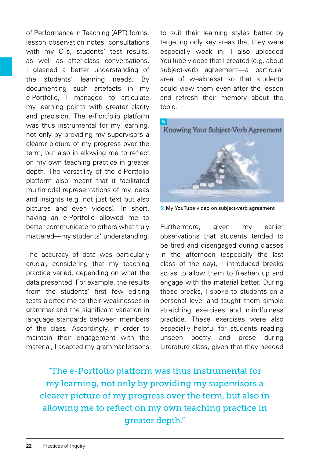of Performance in Teaching (APT) forms, lesson observation notes, consultations with my CTs, students' test results as well as after-class conversations, I gleaned a better understanding of the students' learning needs. By documenting such artefacts in my e-Portfolio, I managed to articulate my learning points with greater clarity and precision. The e-Portfolio platform was thus instrumental for my learning, not only by providing my supervisors a clearer picture of my progress over the term, but also in allowing me to reflect on my own teaching practice in greater depth. The versatility of the e-Portfolio platform also meant that it facilitated multimodal representations of my ideas and insights (e.g. not just text but also pictures and even videos). In short, having an e-Portfolio allowed me to better communicate to others what truly mattered—my students' understanding.

The accuracy of data was particularly crucial, considering that my teaching practice varied, depending on what the data presented. For example, the results from the students' first few editing tests alerted me to their weaknesses in grammar and the significant variation in language standards between members of the class. Accordingly, in order to maintain their engagement with the material, I adapted my grammar lessons to suit their learning styles better by targeting only key areas that they were especially weak in. I also uploaded YouTube videos that I created (e.g. about subject-verb agreement—a particular area of weakness) so that students could view them even after the lesson and refresh their memory about the topic.



5: My YouTube video on subject-verb agreement

Furthermore, given my earlier observations that students tended to be tired and disengaged during classes in the afternoon (especially the last class of the day), I introduced breaks so as to allow them to freshen up and engage with the material better. During these breaks, I spoke to students on a personal level and taught them simple stretching exercises and mindfulness practice. These exercises were also especially helpful for students reading unseen poetry and prose during Literature class, given that they needed

"The e-Portfolio platform was thus instrumental for my learning, not only by providing my supervisors a clearer picture of my progress over the term, but also in allowing me to reflect on my own teaching practice in greater depth."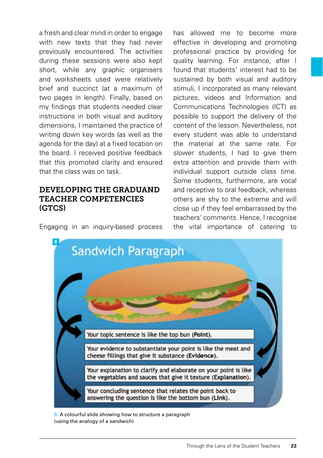a fresh and clear mind in order to engage with new texts that they had never previously encountered. The activities during these sessions were also kept short, while any graphic organisers and worksheets used were relatively brief and succinct (at a maximum of two pages in length). Finally, based on my findings that students needed clear instructions in both visual and auditory dimensions, I maintained the practice of writing down key words (as well as the agenda for the day) at a fixed location on the board. I received positive feedback that this promoted clarity and ensured that the class was on task.

# DEVELOPING THE GRADUAND TEACHER COMPETENCIES (GTCS)

Engaging in an inquiry-based process

has allowed me to become more effective in developing and promoting professional practice by providing for quality learning. For instance, after I found that students' interest had to be sustained by both visual and auditory stimuli, I incorporated as many relevant pictures, videos and Information and Communications Technologies (ICT) as possible to support the delivery of the content of the lesson. Nevertheless, not every student was able to understand the material at the same rate. For slower students. I had to give them extra attention and provide them with individual support outside class time. Some students, furthermore, are vocal and receptive to oral feedback, whereas others are shy to the extreme and will close up if they feel embarrassed by the teachers' comments. Hence, I recognise the vital importance of catering to



6: A colourful slide showing how to structure a paragraph (using the analogy of a sandwich)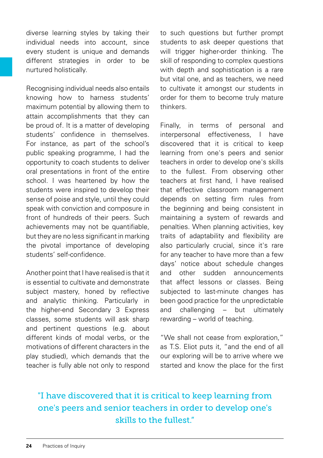diverse learning styles by taking their individual needs into account, since every student is unique and demands different strategies in order to be nurtured holistically.

Recognising individual needs also entails knowing how to harness students' maximum potential by allowing them to attain accomplishments that they can be proud of. It is a matter of developing students' confidence in themselves. For instance, as part of the school's public speaking programme, I had the opportunity to coach students to deliver oral presentations in front of the entire school. I was heartened by how the students were inspired to develop their sense of poise and style, until they could speak with conviction and composure in front of hundreds of their peers. Such achievements may not be quantifiable, but they are no less significant in marking the pivotal importance of developing students' self-confidence.

Another point that I have realised is that it is essential to cultivate and demonstrate subject mastery, honed by reflective and analytic thinking. Particularly in the higher-end Secondary 3 Express classes, some students will ask sharp and pertinent questions (e.g. about different kinds of modal verbs, or the motivations of different characters in the play studied), which demands that the teacher is fully able not only to respond to such questions but further prompt students to ask deeper questions that will trigger higher-order thinking. The skill of responding to complex questions with depth and sophistication is a rare but vital one, and as teachers, we need to cultivate it amongst our students in order for them to become truly mature thinkers.

Finally, in terms of personal and interpersonal effectiveness, I have discovered that it is critical to keep learning from one's peers and senior teachers in order to develop one's skills to the fullest. From observing other teachers at first hand, I have realised that effective classroom management depends on setting firm rules from the beginning and being consistent in maintaining a system of rewards and penalties. When planning activities, key traits of adaptability and flexibility are also particularly crucial, since it's rare for any teacher to have more than a few days' notice about schedule changes and other sudden announcements that affect lessons or classes. Being subjected to last-minute changes has been good practice for the unpredictable and challenging – but ultimately rewarding – world of teaching.

"We shall not cease from exploration," as T.S. Eliot puts it, "and the end of all our exploring will be to arrive where we started and know the place for the first

# "I have discovered that it is critical to keep learning from one's peers and senior teachers in order to develop one's skills to the fullest."